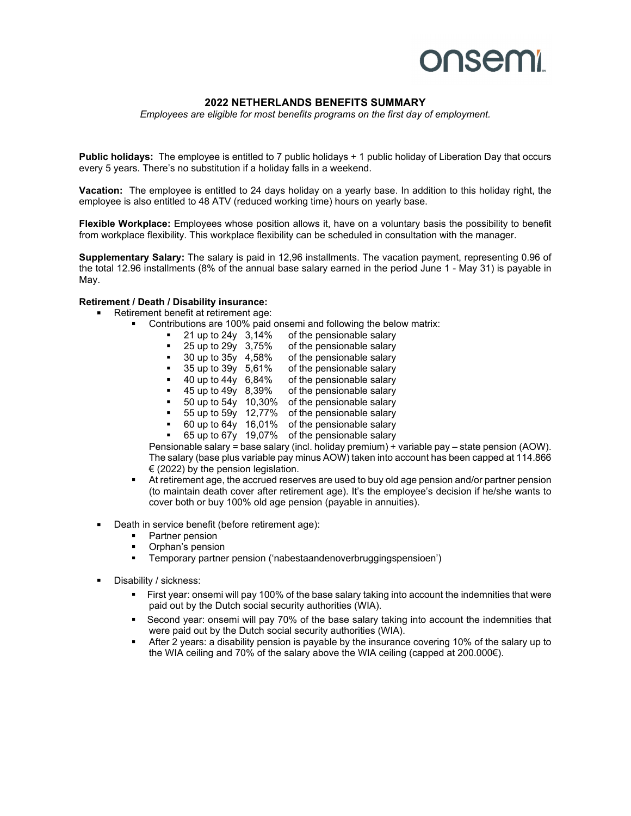## **onsemi**

### **2022 NETHERLANDS BENEFITS SUMMARY**

*Employees are eligible for most benefits programs on the first day of employment.*

**Public holidays:** The employee is entitled to 7 public holidays + 1 public holiday of Liberation Day that occurs every 5 years. There's no substitution if a holiday falls in a weekend.

**Vacation:** The employee is entitled to 24 days holiday on a yearly base. In addition to this holiday right, the employee is also entitled to 48 ATV (reduced working time) hours on yearly base.

**Flexible Workplace:** Employees whose position allows it, have on a voluntary basis the possibility to benefit from workplace flexibility. This workplace flexibility can be scheduled in consultation with the manager.

**Supplementary Salary:** The salary is paid in 12,96 installments. The vacation payment, representing 0.96 of the total 12.96 installments (8% of the annual base salary earned in the period June 1 - May 31) is payable in May.

#### **Retirement / Death / Disability insurance:**

- Retirement benefit at retirement age:
	- Contributions are 100% paid onsemi and following the below matrix:<br> **a** 21 up to 24y 3,14% of the pensionable salary
		- 21 up to 24y 3,14% of the pensionable salary<br>25 up to 29y 3,75% of the pensionable salary
		- of the pensionable salary
		- 30 up to 35y 4,58% of the pensionable salary
		- 35 up to 39y 5,61% of the pensionable salary
		- 40 up to 44y 6,84% of the pensionable salary
		- 45 up to 49y 8,39% of the pensionable salary
		- 50 up to 54y 10,30% of the pensionable salary
		- 55 up to 59y 12,77% of the pensionable salary
		- 60 up to 64y 16,01% of the pensionable salary
		- 65 up to 67y 19,07% of the pensionable salary

Pensionable salary = base salary (incl. holiday premium) + variable pay – state pension (AOW). The salary (base plus variable pay minus AOW) taken into account has been capped at 114.866  $\epsilon$  (2022) by the pension legislation.

- At retirement age, the accrued reserves are used to buy old age pension and/or partner pension (to maintain death cover after retirement age). It's the employee's decision if he/she wants to cover both or buy 100% old age pension (payable in annuities).
- Death in service benefit (before retirement age):
	- Partner pension
	- Orphan's pension
	- Temporary partner pension ('nabestaandenoverbruggingspensioen')
- **Disability / sickness:** 
	- First year: onsemi will pay 100% of the base salary taking into account the indemnities that were paid out by the Dutch social security authorities (WIA).
	- Second year: onsemi will pay 70% of the base salary taking into account the indemnities that were paid out by the Dutch social security authorities (WIA).
	- After 2 years: a disability pension is payable by the insurance covering 10% of the salary up to the WIA ceiling and 70% of the salary above the WIA ceiling (capped at 200.000€).